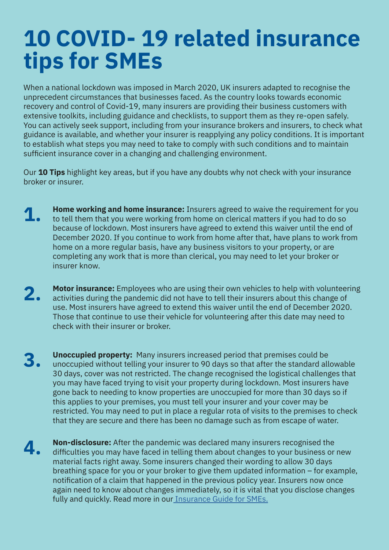## **10 COVID- 19 related insurance tips for SMEs**

When a national lockdown was imposed in March 2020, UK insurers adapted to recognise the unprecedent circumstances that businesses faced. As the country looks towards economic recovery and control of Covid-19, many insurers are providing their business customers with extensive toolkits, including guidance and checklists, to support them as they re-open safely. You can actively seek support, including from your insurance brokers and insurers, to check what guidance is available, and whether your insurer is reapplying any policy conditions. It is important to establish what steps you may need to take to comply with such conditions and to maintain sufficient insurance cover in a changing and challenging environment.

Our **10 Tips** highlight key areas, but if you have any doubts why not check with your insurance broker or insurer.

- **1.** Home working and home insurance: Insurers agreed to waive the requirement for you to tell them that you were working from home on clerical matters if you had to do so because of lockdown. Most insurers have agreed to extend this waiver until the end of December 2020. If you continue to work from home after that, have plans to work from home on a more regular basis, have any business visitors to your property, or are completing any work that is more than clerical, you may need to let your broker or insurer know.
- **2. Motor insurance:** Employees who are using their own vehicles to help with volunteering<br>**2.** Contivities during the pandomic did not have to tell their insurars about this change of activities during the pandemic did not have to tell their insurers about this change of use. Most insurers have agreed to extend this waiver until the end of December 2020. Those that continue to use their vehicle for volunteering after this date may need to check with their insurer or broker.
- **3. Unoccupied property:** Many insurers increased period that premises could be unoccupied without telling your insurer to 90 days so that after the standard allowable 30 days, cover was not restricted. The change recognised the logistical challenges that you may have faced trying to visit your property during lockdown. Most insurers have gone back to needing to know properties are unoccupied for more than 30 days so if this applies to your premises, you must tell your insurer and your cover may be restricted. You may need to put in place a regular rota of visits to the premises to check that they are secure and there has been no damage such as from escape of water.
- **4. Non-disclosure:** After the pandemic was declared many insurers recognised the difficulties you may have faced in telling them about changes to your business or new material facts right away. Some insurers changed their wording to allow 30 days breathing space for you or your broker to give them updated information – for example, notification of a claim that happened in the previous policy year. Insurers now once again need to know about changes immediately, so it is vital that you disclose changes fully and quickly. Read more in ou[r Insurance Guide for SMEs.](https://view.publitas.com/biba/sme-insurance-guide/page/10-11)